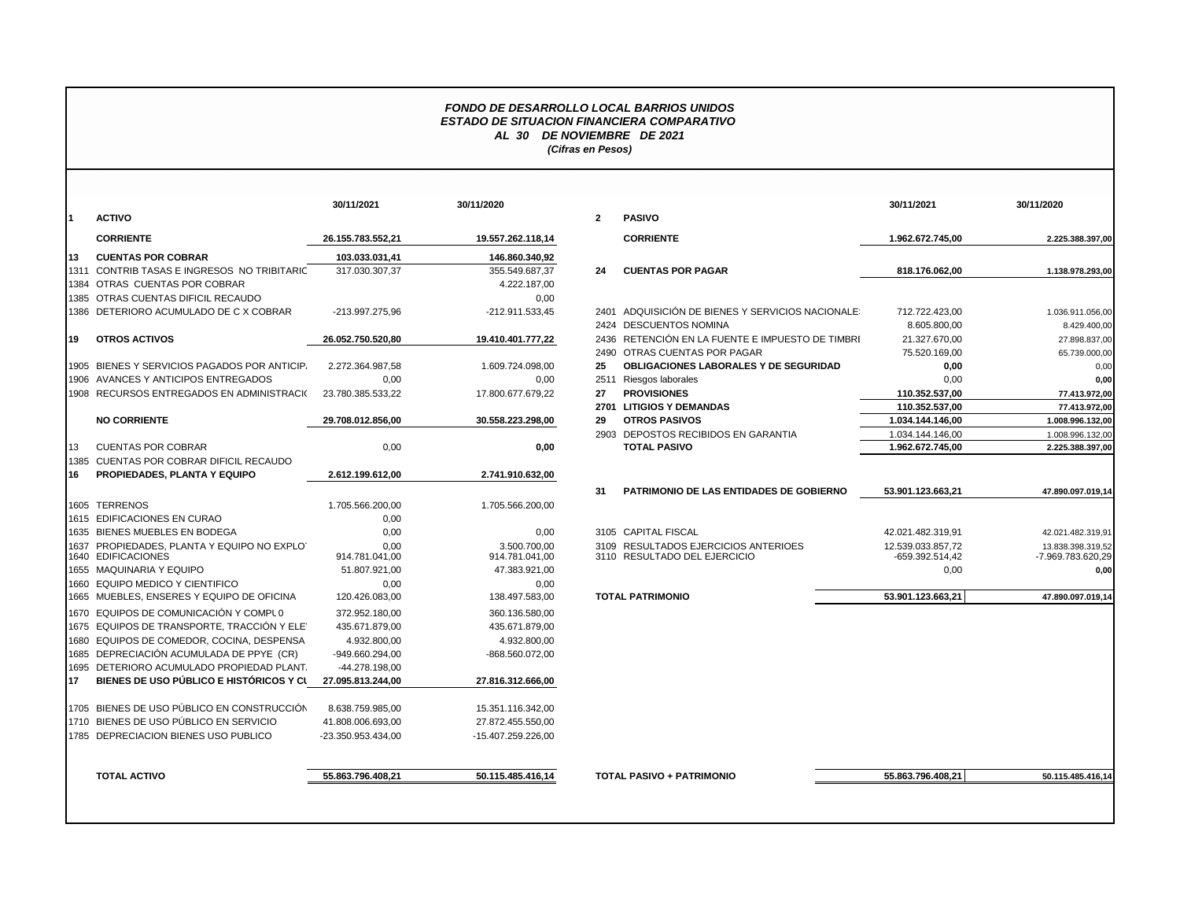## *FONDO DE DESARROLLO LOCAL BARRIOS UNIDOS ESTADO DE SITUACION FINANCIERA COMPARATIVO AL 30 DE NOVIEMBRE DE 2021 (Cifras en Pesos)*

| I1<br>113 | <b>ACTIVO</b><br><b>CORRIENTE</b>            |                    |                    | $\overline{2}$ | <b>PASIVO</b>                                    |                   |                   |
|-----------|----------------------------------------------|--------------------|--------------------|----------------|--------------------------------------------------|-------------------|-------------------|
|           |                                              |                    |                    |                |                                                  |                   |                   |
|           |                                              | 26.155.783.552,21  | 19.557.262.118,14  |                | <b>CORRIENTE</b>                                 | 1.962.672.745,00  | 2.225.388.397,00  |
|           | <b>CUENTAS POR COBRAR</b>                    | 103.033.031.41     | 146.860.340.92     |                |                                                  |                   |                   |
|           | 1311 CONTRIB TASAS E INGRESOS NO TRIBITARIC  | 317.030.307,37     | 355.549.687,37     | 24             | <b>CUENTAS POR PAGAR</b>                         | 818.176.062,00    | 1.138.978.293,00  |
|           | 1384 OTRAS CUENTAS POR COBRAR                |                    | 4.222.187,00       |                |                                                  |                   |                   |
|           | 1385 OTRAS CUENTAS DIFICIL RECAUDO           |                    | 0,00               |                |                                                  |                   |                   |
|           | 1386 DETERIORO ACUMULADO DE C X COBRAR       | -213.997.275,96    | -212.911.533,45    |                | 2401 ADQUISICIÓN DE BIENES Y SERVICIOS NACIONALE | 712.722.423,00    | 1.036.911.056,00  |
|           |                                              |                    |                    |                | 2424 DESCUENTOS NOMINA                           | 8.605.800,00      | 8.429.400,00      |
| 19        | <b>OTROS ACTIVOS</b>                         | 26.052.750.520,80  | 19.410.401.777,22  |                | 2436 RETENCIÓN EN LA FUENTE E IMPUESTO DE TIMBRI | 21.327.670,00     | 27.898.837,00     |
|           |                                              |                    |                    |                | 2490 OTRAS CUENTAS POR PAGAR                     | 75.520.169,00     | 65.739.000,00     |
|           | 1905 BIENES Y SERVICIOS PAGADOS POR ANTICIP. | 2.272.364.987,58   | 1.609.724.098,00   | 25             | OBLIGACIONES LABORALES Y DE SEGURIDAD            | 0,00              | 0,00              |
|           | 1906 AVANCES Y ANTICIPOS ENTREGADOS          | 0,00               | 0.00               |                | 2511 Riesgos laborales                           | 0,00              | 0.00              |
|           | 1908 RECURSOS ENTREGADOS EN ADMINISTRACIO    | 23.780.385.533,22  | 17.800.677.679.22  | 27             | <b>PROVISIONES</b>                               | 110.352.537,00    | 77.413.972,00     |
|           |                                              |                    |                    |                | 2701 LITIGIOS Y DEMANDAS                         | 110.352.537,00    | 77.413.972,00     |
|           | <b>NO CORRIENTE</b>                          | 29.708.012.856.00  | 30.558.223.298,00  | 29             | <b>OTROS PASIVOS</b>                             | 1.034.144.146,00  | 1.008.996.132,00  |
|           |                                              |                    |                    |                | 2903 DEPOSTOS RECIBIDOS EN GARANTIA              | 1.034.144.146,00  | 1.008.996.132,00  |
| 13        | <b>CUENTAS POR COBRAR</b>                    | 0,00               | 0,00               |                | <b>TOTAL PASIVO</b>                              | 1.962.672.745,00  | 2.225.388.397,00  |
|           | 1385 CUENTAS POR COBRAR DIFICIL RECAUDO      |                    |                    |                |                                                  |                   |                   |
| 16        | PROPIEDADES, PLANTA Y EQUIPO                 | 2.612.199.612.00   | 2.741.910.632,00   |                |                                                  |                   |                   |
|           |                                              |                    |                    | 31             | <b>PATRIMONIO DE LAS ENTIDADES DE GOBIERNO</b>   | 53.901.123.663.21 | 47.890.097.019,14 |
|           | 1605 TERRENOS                                | 1.705.566.200,00   | 1.705.566.200,00   |                |                                                  |                   |                   |
|           | 1615 EDIFICACIONES EN CURAO                  | 0,00               |                    |                |                                                  |                   |                   |
|           | 1635 BIENES MUEBLES EN BODEGA                | 0,00               | 0,00               |                | 3105 CAPITAL FISCAL                              | 42.021.482.319,91 | 42.021.482.319,91 |
|           | 1637 PROPIEDADES, PLANTA Y EQUIPO NO EXPLOT  | 0.00               | 3.500.700.00       |                | 3109 RESULTADOS EJERCICIOS ANTERIOES             | 12.539.033.857.72 | 13.838.398.319.52 |
|           | 1640 EDIFICACIONES                           | 914.781.041,00     | 914.781.041,00     |                | 3110 RESULTADO DEL EJERCICIO                     | -659.392.514,42   | -7.969.783.620.29 |
|           | 1655 MAQUINARIA Y EQUIPO                     | 51.807.921,00      | 47.383.921.00      |                |                                                  | 0,00              | 0.00              |
|           | 1660 EQUIPO MEDICO Y CIENTIFICO              | 0,00               | 0,00               |                |                                                  |                   |                   |
|           | 1665 MUEBLES, ENSERES Y EQUIPO DE OFICINA    | 120.426.083,00     | 138.497.583,00     |                | <b>TOTAL PATRIMONIO</b>                          | 53.901.123.663.21 | 47.890.097.019.14 |
|           | 1670 EQUIPOS DE COMUNICACIÓN Y COMPLO        | 372.952.180.00     | 360.136.580.00     |                |                                                  |                   |                   |
|           | 1675 EQUIPOS DE TRANSPORTE. TRACCIÓN Y ELET  | 435.671.879,00     | 435.671.879.00     |                |                                                  |                   |                   |
|           | 1680 EQUIPOS DE COMEDOR, COCINA, DESPENSA    | 4.932.800,00       | 4.932.800.00       |                |                                                  |                   |                   |
|           | 1685 DEPRECIACIÓN ACUMULADA DE PPYE (CR)     | -949.660.294,00    | -868.560.072,00    |                |                                                  |                   |                   |
|           | 1695 DETERIORO ACUMULADO PROPIEDAD PLANT.    | -44.278.198.00     |                    |                |                                                  |                   |                   |
| 117       | BIENES DE USO PÚBLICO E HISTÓRICOS Y CL      | 27.095.813.244,00  | 27.816.312.666,00  |                |                                                  |                   |                   |
|           |                                              |                    |                    |                |                                                  |                   |                   |
|           | 1705 BIENES DE USO PÚBLICO EN CONSTRUCCIÓN   | 8.638.759.985.00   | 15.351.116.342,00  |                |                                                  |                   |                   |
|           | 1710 BIENES DE USO PÚBLICO EN SERVICIO       | 41.808.006.693,00  | 27.872.455.550,00  |                |                                                  |                   |                   |
|           | 1785 DEPRECIACION BIENES USO PUBLICO         | -23.350.953.434,00 | -15.407.259.226,00 |                |                                                  |                   |                   |
|           | <b>TOTAL ACTIVO</b>                          | 55.863.796.408,21  | 50.115.485.416,14  |                | <b>TOTAL PASIVO + PATRIMONIO</b>                 | 55.863.796.408,21 | 50.115.485.416,14 |
|           |                                              |                    |                    |                |                                                  |                   |                   |

|                                                                | 30/11/2021             | 30/11/2020                     |                |                                                                        | 30/11/2021                           | 30/11/2020                             |
|----------------------------------------------------------------|------------------------|--------------------------------|----------------|------------------------------------------------------------------------|--------------------------------------|----------------------------------------|
| ACTIVO                                                         |                        |                                | $\overline{2}$ | <b>PASIVO</b>                                                          |                                      |                                        |
| <b>CORRIENTE</b>                                               | 26.155.783.552.21      | 19.557.262.118,14              |                | <b>CORRIENTE</b>                                                       | 1.962.672.745.00                     | 2.225.388.397.00                       |
| <b>CUENTAS POR COBRAR</b>                                      | 103.033.031.41         | 146.860.340.92                 |                |                                                                        |                                      |                                        |
| CONTRIB TASAS E INGRESOS NO TRIBITARIC                         | 317.030.307,37         | 355.549.687.37                 | 24             | <b>CUENTAS POR PAGAR</b>                                               | 818.176.062.00                       | 1.138.978.293,00                       |
| OTRAS CUENTAS POR COBRAR                                       |                        | 4.222.187,00                   |                |                                                                        |                                      |                                        |
| OTRAS CUENTAS DIFICIL RECAUDO                                  |                        | 0,00                           |                |                                                                        |                                      |                                        |
| DETERIORO ACUMULADO DE C X COBRAR                              | -213.997.275,96        | -212.911.533,45                |                | 2401 ADQUISICIÓN DE BIENES Y SERVICIOS NACIONALE                       | 712.722.423,00                       | 1.036.911.056,00                       |
|                                                                |                        |                                |                | 2424 DESCUENTOS NOMINA                                                 | 8.605.800,00                         | 8.429.400,00                           |
| <b>OTROS ACTIVOS</b>                                           | 26.052.750.520,80      | 19.410.401.777.22              |                | 2436 RETENCIÓN EN LA FUENTE E IMPUESTO DE TIMBRI                       | 21.327.670.00                        | 27.898.837,00                          |
|                                                                |                        |                                | 2490           | OTRAS CUENTAS POR PAGAR                                                | 75.520.169.00                        | 65.739.000,00                          |
| BIENES Y SERVICIOS PAGADOS POR ANTICIP.                        | 2.272.364.987,58       | 1.609.724.098,00               | 25             | <b>OBLIGACIONES LABORALES Y DE SEGURIDAD</b>                           | 0,00                                 | 0,00                                   |
| AVANCES Y ANTICIPOS ENTREGADOS                                 | 0,00                   | 0,00                           | 2511           | Riesgos laborales                                                      | 0,00                                 | 0,00                                   |
| RECURSOS ENTREGADOS EN ADMINISTRACI(                           | 23.780.385.533,22      | 17.800.677.679,22              | 27             | <b>PROVISIONES</b>                                                     | 110.352.537.00                       | 77.413.972,00                          |
|                                                                |                        |                                |                | 2701 LITIGIOS Y DEMANDAS                                               | 110.352.537,00                       | 77.413.972,00                          |
| <b>NO CORRIENTE</b>                                            | 29.708.012.856,00      | 30.558.223.298,00              | 29             | <b>OTROS PASIVOS</b>                                                   | 1.034.144.146,00                     | 1.008.996.132,00                       |
|                                                                |                        |                                |                | 2903 DEPOSTOS RECIBIDOS EN GARANTIA                                    | 1.034.144.146,00                     | 1.008.996.132,00                       |
| CUENTAS POR COBRAR                                             | 0,00                   | 0,00                           |                | <b>TOTAL PASIVO</b>                                                    | 1.962.672.745,00                     | 2.225.388.397,00                       |
| CUENTAS POR COBRAR DIFICIL RECAUDO                             |                        |                                |                |                                                                        |                                      |                                        |
| PROPIEDADES. PLANTA Y EQUIPO                                   | 2.612.199.612.00       | 2.741.910.632,00               |                |                                                                        |                                      |                                        |
|                                                                |                        |                                | 31             | PATRIMONIO DE LAS ENTIDADES DE GOBIERNO                                | 53.901.123.663,21                    | 47.890.097.019.14                      |
| <b>TERRENOS</b>                                                | 1.705.566.200.00       | 1.705.566.200.00               |                |                                                                        |                                      |                                        |
| EDIFICACIONES EN CURAO                                         | 0,00                   |                                |                |                                                                        |                                      |                                        |
| <b>BIENES MUEBLES EN BODEGA</b>                                | 0,00                   | 0,00                           |                | 3105 CAPITAL FISCAL                                                    | 42.021.482.319.91                    | 42.021.482.319,91                      |
| PROPIEDADES. PLANTA Y EQUIPO NO EXPLOT<br><b>EDIFICACIONES</b> | 0.00<br>914.781.041,00 | 3.500.700.00<br>914.781.041,00 | 3109           | <b>RESULTADOS EJERCICIOS ANTERIOES</b><br>3110 RESULTADO DEL EJERCICIO | 12.539.033.857.72<br>-659.392.514,42 | 13.838.398.319,52<br>-7.969.783.620,29 |
| MAQUINARIA Y EQUIPO                                            | 51.807.921,00          | 47.383.921,00                  |                |                                                                        | 0,00                                 | 0,00                                   |
| EQUIPO MEDICO Y CIENTIFICO                                     | 0,00                   | 0,00                           |                |                                                                        |                                      |                                        |
| MUEBLES. ENSERES Y EQUIPO DE OFICINA                           | 120.426.083,00         | 138.497.583.00                 |                | <b>TOTAL PATRIMONIO</b>                                                | 53.901.123.663.21                    | 47.890.097.019.1                       |
| EQUIPOS DE COMUNICACIÓN Y COMPLO                               | 372.952.180,00         | 360.136.580,00                 |                |                                                                        |                                      |                                        |
| EQUIPOS DE TRANSPORTE, TRACCIÓN Y ELE'                         | 435.671.879,00         | 435.671.879,00                 |                |                                                                        |                                      |                                        |
| EQUIPOS DE COMEDOR, COCINA, DESPENSA                           | 4.932.800,00           | 4.932.800,00                   |                |                                                                        |                                      |                                        |
| DEPRECIACIÓN ACUMULADA DE PPYE (CR)                            | -949.660.294,00        | -868.560.072.00                |                |                                                                        |                                      |                                        |
| DETERIORO ACUMULADO PROPIEDAD PLANT.                           | -44.278.198.00         |                                |                |                                                                        |                                      |                                        |
| BIENES DE USO PÚBLICO E HISTÓRICOS Y CL                        | 27.095.813.244.00      | 27.816.312.666,00              |                |                                                                        |                                      |                                        |
| BIENES DE USO PÚBLICO EN CONSTRUCCIÓN                          | 8.638.759.985,00       | 15.351.116.342,00              |                |                                                                        |                                      |                                        |
| BIENES DE USO PÚBLICO EN SERVICIO                              | 41.808.006.693,00      | 27.872.455.550,00              |                |                                                                        |                                      |                                        |
| DEPRECIACION BIENES USO PUBLICO                                | -23.350.953.434,00     | -15.407.259.226,00             |                |                                                                        |                                      |                                        |
|                                                                |                        |                                |                |                                                                        |                                      |                                        |
| TOTAL ACTIVO                                                   | 55.863.796.408,21      | 50.115.485.416,14              |                | TOTAL PASIVO + PATRIMONIO                                              | 55.863.796.408,21                    | 50.115.485.416,14                      |
|                                                                |                        |                                |                |                                                                        |                                      |                                        |